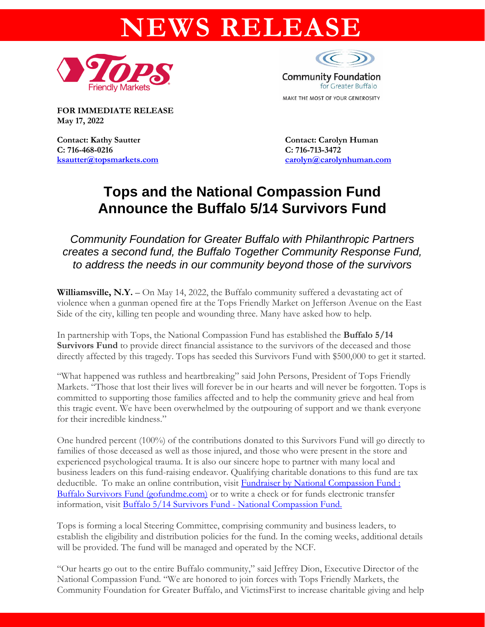# **NEWS RELEASE**





**FOR IMMEDIATE RELEASE May 17, 2022** 

**Contact: Kathy Sautter Contact: Carolyn Human C: 716-468-0216 C: 716-713-3472**

**[ksautter@topsmarkets.com](mailto:ksautter@topsmarkets.com) [carolyn@carolynhuman.com](mailto:carolyn@carolynhuman.com)**

## **Tops and the National Compassion Fund Announce the Buffalo 5/14 Survivors Fund**

*Community Foundation for Greater Buffalo with Philanthropic Partners creates a second fund, the Buffalo Together Community Response Fund, to address the needs in our community beyond those of the survivors*

**Williamsville, N.Y.** – On May 14, 2022, the Buffalo community suffered a devastating act of violence when a gunman opened fire at the Tops Friendly Market on Jefferson Avenue on the East Side of the city, killing ten people and wounding three. Many have asked how to help.

In partnership with Tops, the National Compassion Fund has established the **Buffalo 5/14 Survivors Fund** to provide direct financial assistance to the survivors of the deceased and those directly affected by this tragedy. Tops has seeded this Survivors Fund with \$500,000 to get it started.

"What happened was ruthless and heartbreaking" said John Persons, President of Tops Friendly Markets. "Those that lost their lives will forever be in our hearts and will never be forgotten. Tops is committed to supporting those families affected and to help the community grieve and heal from this tragic event. We have been overwhelmed by the outpouring of support and we thank everyone for their incredible kindness."

One hundred percent (100%) of the contributions donated to this Survivors Fund will go directly to families of those deceased as well as those injured, and those who were present in the store and experienced psychological trauma. It is also our sincere hope to partner with many local and business leaders on this fund-raising endeavor. Qualifying charitable donations to this fund are tax deductible. To make an online contribution, visit [Fundraiser by National Compassion Fund :](https://www.gofundme.com/f/buffalo-survivors-fund)  [Buffalo Survivors Fund \(gofundme.com\)](https://www.gofundme.com/f/buffalo-survivors-fund) [or](https://www.gofundme.com/f/buffalo-survivors-fund) to write a check or for funds electronic transfer information, visit [Buffalo 5/14 Survivors Fund -](https://nationalcompassion.org/fund/buffalo-survivors-fund/) National Compassion Fund.

Tops is forming a local Steering Committee, comprising community and business leaders, to establish the eligibility and distribution policies for the fund. In the coming weeks, additional details will be provided. The fund will be managed and operated by the NCF.

"Our hearts go out to the entire Buffalo community," said Jeffrey Dion, Executive Director of the National Compassion Fund. "We are honored to join forces with Tops Friendly Markets, the Community Foundation for Greater Buffalo, and VictimsFirst to increase charitable giving and help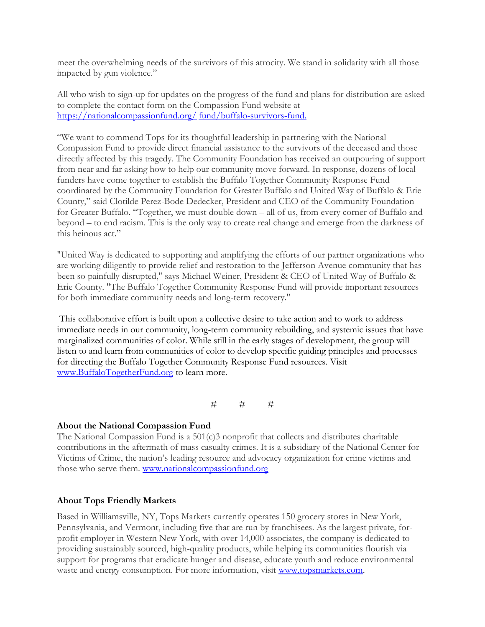meet the overwhelming needs of the survivors of this atrocity. We stand in solidarity with all those impacted by gun violence."

All who wish to sign-up for updates on the progress of the fund and plans for distribution are asked to complete the contact form on the Compassion Fund website at https://nationalcompassionfund.org/ fund/buffalo-survivors-fund.

"We want to commend Tops for its thoughtful leadership in partnering with the National Compassion Fund to provide direct financial assistance to the survivors of the deceased and those directly affected by this tragedy. The Community Foundation has received an outpouring of support from near and far asking how to help our community move forward. In response, dozens of local funders have come together to establish the Buffalo Together Community Response Fund coordinated by the Community Foundation for Greater Buffalo and United Way of Buffalo & Erie County," said Clotilde Perez-Bode Dedecker, President and CEO of the Community Foundation for Greater Buffalo. "Together, we must double down – all of us, from every corner of Buffalo and beyond – to end racism. This is the only way to create real change and emerge from the darkness of this heinous act."

"United Way is dedicated to supporting and amplifying the efforts of our partner organizations who are working diligently to provide relief and restoration to the Jefferson Avenue community that has been so painfully disrupted," says Michael Weiner, President & CEO of United Way of Buffalo & Erie County. "The Buffalo Together Community Response Fund will provide important resources for both immediate community needs and long-term recovery."

This collaborative effort is built upon a collective desire to take action and to work to address immediate needs in our community, long-term community rebuilding, and systemic issues that have marginalized communities of color. While still in the early stages of development, the group will listen to and learn from communities of color to develop specific guiding principles and processes for directing the Buffalo Together Community Response Fund resources. Visit www.BuffaloTogetherFund.org to learn more.

 $#$   $#$   $#$ 

#### **About the National Compassion Fund**

The National Compassion Fund is a  $501(c)3$  nonprofit that collects and distributes charitable contributions in the aftermath of mass casualty crimes. It is a subsidiary of the National Center for Victims of Crime, the nation's leading resource and advocacy organization for crime victims and those who serve them. www.nationalcompassionfund.org

### **About Tops Friendly Markets**

Based in Williamsville, NY, Tops Markets currently operates 150 grocery stores in New York, Pennsylvania, and Vermont, including five that are run by franchisees. As the largest private, forprofit employer in Western New York, with over 14,000 associates, the company is dedicated to providing sustainably sourced, high-quality products, while helping its communities flourish via support for programs that eradicate hunger and disease, educate youth and reduce environmental waste and energy consumption. For more information, visit [www.topsmarkets.com.](http://www.topsmarkets.com/)